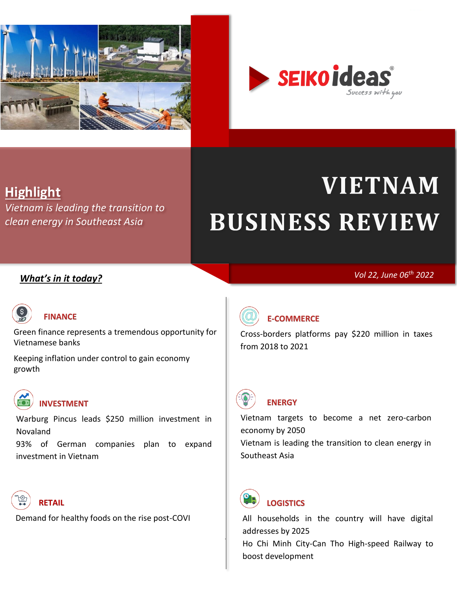

<span id="page-0-0"></span>

# **Highlight**

*[Vietnam is leading the transition to](#page-7-0)  [clean energy in Southeast Asia](#page-7-0)*

# **VIETNAM BUSINESS REVIEW**

# *What's in it today?*

*Vol 22, June 06th 2022*



# **[FINANCE](#page-1-0)**

[Green finance represents a tremendous opportunity for](#page-1-1)  [Vietnamese banks](#page-1-1)

[Keeping inflation under control to gain economy](#page-3-0)  [growth](#page-3-0)



**[INVESTMENT](#page-13-0)**

[Warburg Pincus leads \\$250 million investment in](#page-13-1)  [Novaland](#page-13-1)

[93% of German companies plan to expand](#page-14-0)  [investment in Vietnam](#page-14-0)



[Demand for healthy foods on the rise post-COVI](#page-8-1)



# **[E-COMMERCE](#page-4-0)**

[Cross-borders platforms pay \\$220 million in taxes](#page-4-1)  [from 2018 to 2021](#page-4-1)



# **[ENERGY](#page-5-0)**

[Vietnam targets to become a net zero-carbon](#page-5-1)  [economy by 2050](#page-5-1) [Vietnam is leading the transition to clean energy in](#page-7-0)  [Southeast Asia](#page-7-0)



# **[LOGISTICS](#page-9-0)**

[All households in the country will have digital](#page-9-1)  [addresses by 2025](#page-9-1)

Ho Chi Minh City-Can Tho High-speed Railway to [boost development](#page-11-0)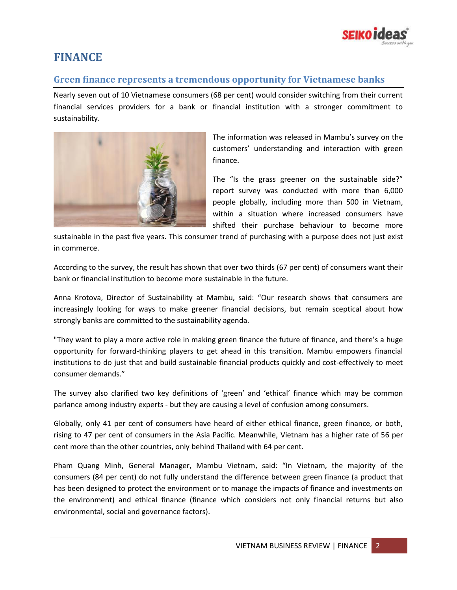

# <span id="page-1-0"></span>**FINANCE**

## <span id="page-1-1"></span>**Green finance represents a tremendous opportunity for Vietnamese banks**

Nearly seven out of 10 Vietnamese consumers (68 per cent) would consider switching from their current financial services providers for a bank or financial institution with a stronger commitment to sustainability.



The information was released in Mambu's survey on the customers' understanding and interaction with green finance.

The "Is the grass greener on the sustainable side?" report survey was conducted with more than 6,000 people globally, including more than 500 in Vietnam, within a situation where increased consumers have shifted their purchase behaviour to become more

sustainable in the past five years. This consumer trend of purchasing with a purpose does not just exist in commerce.

According to the survey, the result has shown that over two thirds (67 per cent) of consumers want their bank or financial institution to become more sustainable in the future.

Anna Krotova, Director of Sustainability at Mambu, said: "Our research shows that consumers are increasingly looking for ways to make greener financial decisions, but remain sceptical about how strongly banks are committed to the sustainability agenda.

"They want to play a more active role in making green finance the future of finance, and there's a huge opportunity for forward-thinking players to get ahead in this transition. Mambu empowers financial institutions to do just that and build sustainable financial products quickly and cost-effectively to meet consumer demands."

The survey also clarified two key definitions of 'green' and 'ethical' finance which may be common parlance among industry experts - but they are causing a level of confusion among consumers.

Globally, only 41 per cent of consumers have heard of either ethical finance, green finance, or both, rising to 47 per cent of consumers in the Asia Pacific. Meanwhile, Vietnam has a higher rate of 56 per cent more than the other countries, only behind Thailand with 64 per cent.

Pham Quang Minh, General Manager, Mambu Vietnam, said: "In Vietnam, the majority of the consumers (84 per cent) do not fully understand the difference between green finance (a product that has been designed to protect the environment or to manage the impacts of finance and investments on the environment) and ethical finance (finance which considers not only financial returns but also environmental, social and governance factors).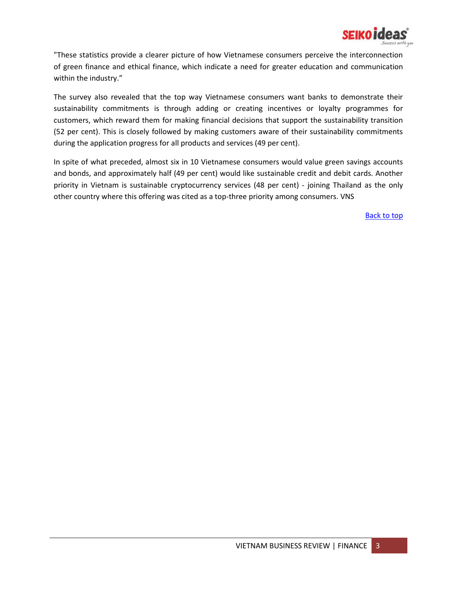

"These statistics provide a clearer picture of how Vietnamese consumers perceive the interconnection of green finance and ethical finance, which indicate a need for greater education and communication within the industry."

The survey also revealed that the top way Vietnamese consumers want banks to demonstrate their sustainability commitments is through adding or creating incentives or loyalty programmes for customers, which reward them for making financial decisions that support the sustainability transition (52 per cent). This is closely followed by making customers aware of their sustainability commitments during the application progress for all products and services (49 per cent).

In spite of what preceded, almost six in 10 Vietnamese consumers would value green savings accounts and bonds, and approximately half (49 per cent) would like sustainable credit and debit cards. Another priority in Vietnam is sustainable cryptocurrency services (48 per cent) - joining Thailand as the only other country where this offering was cited as a top-three priority among consumers. VNS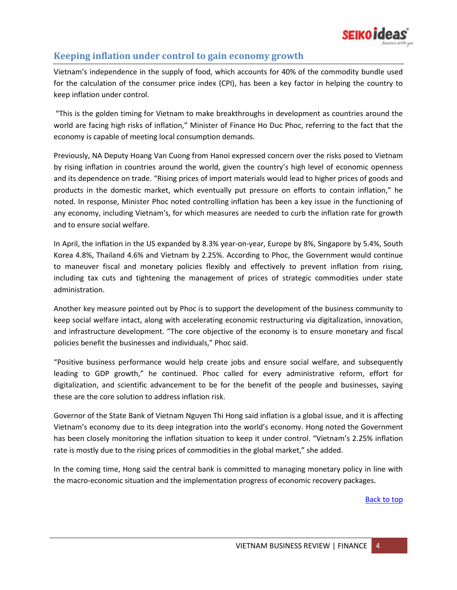

# <span id="page-3-0"></span>**Keeping inflation under control to gain economy growth**

Vietnam's independence in the supply of food, which accounts for 40% of the commodity bundle used for the calculation of the consumer price index (CPI), has been a key factor in helping the country to keep inflation under control.

"This is the golden timing for Vietnam to make breakthroughs in development as countries around the world are facing high risks of inflation," Minister of Finance Ho Duc Phoc, referring to the fact that the economy is capable of meeting local consumption demands.

Previously, NA Deputy Hoang Van Cuong from Hanoi expressed concern over the risks posed to Vietnam by rising inflation in countries around the world, given the country's high level of economic openness and its dependence on trade. "Rising prices of import materials would lead to higher prices of goods and products in the domestic market, which eventually put pressure on efforts to contain inflation," he noted. In response, Minister Phoc noted controlling inflation has been a key issue in the functioning of any economy, including Vietnam's, for which measures are needed to curb the inflation rate for growth and to ensure social welfare.

In April, the inflation in the US expanded by 8.3% year-on-year, Europe by 8%, Singapore by 5.4%, South Korea 4.8%, Thailand 4.6% and Vietnam by 2.25%. According to Phoc, the Government would continue to maneuver fiscal and monetary policies flexibly and effectively to prevent inflation from rising, including tax cuts and tightening the management of prices of strategic commodities under state administration.

Another key measure pointed out by Phoc is to support the development of the business community to keep social welfare intact, along with accelerating economic restructuring via digitalization, innovation, and infrastructure development. "The core objective of the economy is to ensure monetary and fiscal policies benefit the businesses and individuals," Phoc said.

"Positive business performance would help create jobs and ensure social welfare, and subsequently leading to GDP growth," he continued. Phoc called for every administrative reform, effort for digitalization, and scientific advancement to be for the benefit of the people and businesses, saying these are the core solution to address inflation risk.

Governor of the State Bank of Vietnam Nguyen Thi Hong said inflation is a global issue, and it is affecting Vietnam's economy due to its deep integration into the world's economy. Hong noted the Government has been closely monitoring the inflation situation to keep it under control. "Vietnam's 2.25% inflation rate is mostly due to the rising prices of commodities in the global market," she added.

In the coming time, Hong said the central bank is committed to managing monetary policy in line with the macro-economic situation and the implementation progress of economic recovery packages.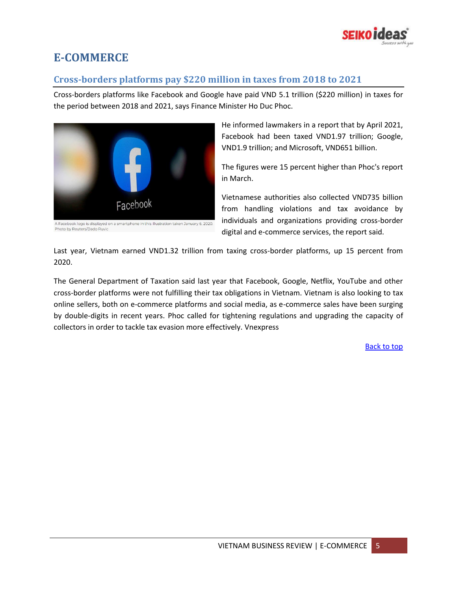

# <span id="page-4-0"></span>**E-COMMERCE**

## <span id="page-4-1"></span>**Cross-borders platforms pay \$220 million in taxes from 2018 to 2021**

Cross-borders platforms like Facebook and Google have paid VND 5.1 trillion (\$220 million) in taxes for the period between 2018 and 2021, says Finance Minister Ho Duc Phoc.



A Facebook logo is displayed on a smartphone in this illustration taken January 6, 2020. Photo by Reuters/Dado Ruvic

He informed lawmakers in a report that by April 2021, Facebook had been taxed VND1.97 trillion; Google, VND1.9 trillion; and Microsoft, VND651 billion.

The figures were 15 percent higher than Phoc's report in March.

Vietnamese authorities also collected VND735 billion from handling violations and tax avoidance by individuals and organizations providing cross-border digital and e-commerce services, the report said.

Last year, Vietnam earned VND1.32 trillion from taxing cross-border platforms, up 15 percent from 2020.

The General Department of Taxation said last year that Facebook, Google, Netflix, YouTube and other cross-border platforms were not fulfilling their tax obligations in Vietnam. Vietnam is also looking to tax online sellers, both on e-commerce platforms and social media, as e-commerce sales have been surging by double-digits in recent years. Phoc called for tightening regulations and upgrading the capacity of collectors in order to tackle tax evasion more effectively. Vnexpress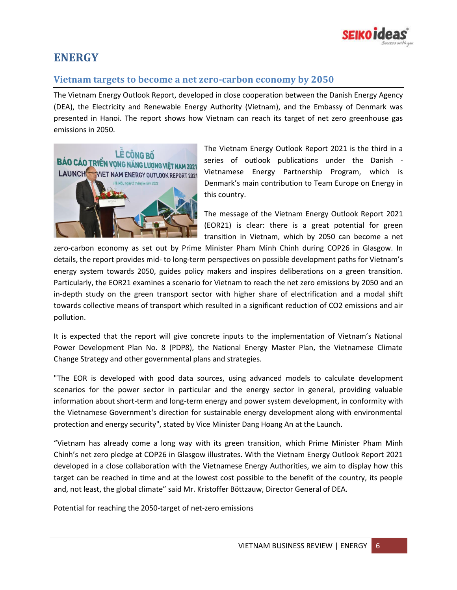

# <span id="page-5-0"></span>**ENERGY**

## <span id="page-5-1"></span>**Vietnam targets to become a net zero-carbon economy by 2050**

The Vietnam Energy Outlook Report, developed in close cooperation between the Danish Energy Agency (DEA), the Electricity and Renewable Energy Authority (Vietnam), and the Embassy of Denmark was presented in Hanoi. The report shows how Vietnam can reach its target of net zero greenhouse gas emissions in 2050.



The Vietnam Energy Outlook Report 2021 is the third in a series of outlook publications under the Danish - Vietnamese Energy Partnership Program, which is Denmark's main contribution to Team Europe on Energy in this country.

The message of the Vietnam Energy Outlook Report 2021 (EOR21) is clear: there is a great potential for green transition in Vietnam, which by 2050 can become a net

zero-carbon economy as set out by Prime Minister Pham Minh Chinh during COP26 in Glasgow. In details, the report provides mid- to long-term perspectives on possible development paths for Vietnam's energy system towards 2050, guides policy makers and inspires deliberations on a green transition. Particularly, the EOR21 examines a scenario for Vietnam to reach the net zero emissions by 2050 and an in-depth study on the green transport sector with higher share of electrification and a modal shift towards collective means of transport which resulted in a significant reduction of CO2 emissions and air pollution.

It is expected that the report will give concrete inputs to the implementation of Vietnam's National Power Development Plan No. 8 (PDP8), the National Energy Master Plan, the Vietnamese Climate Change Strategy and other governmental plans and strategies.

"The EOR is developed with good data sources, using advanced models to calculate development scenarios for the power sector in particular and the energy sector in general, providing valuable information about short-term and long-term energy and power system development, in conformity with the Vietnamese Government's direction for sustainable energy development along with environmental protection and energy security", stated by Vice Minister Dang Hoang An at the Launch.

"Vietnam has already come a long way with its green transition, which Prime Minister Pham Minh Chinh's net zero pledge at COP26 in Glasgow illustrates. With the Vietnam Energy Outlook Report 2021 developed in a close collaboration with the Vietnamese Energy Authorities, we aim to display how this target can be reached in time and at the lowest cost possible to the benefit of the country, its people and, not least, the global climate" said Mr. Kristoffer Böttzauw, Director General of DEA.

Potential for reaching the 2050-target of net-zero emissions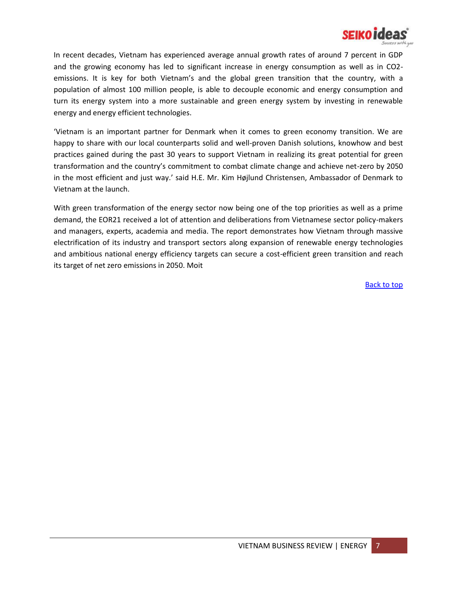

In recent decades, Vietnam has experienced average annual growth rates of around 7 percent in GDP and the growing economy has led to significant increase in energy consumption as well as in CO2 emissions. It is key for both Vietnam's and the global green transition that the country, with a population of almost 100 million people, is able to decouple economic and energy consumption and turn its energy system into a more sustainable and green energy system by investing in renewable energy and energy efficient technologies.

'Vietnam is an important partner for Denmark when it comes to green economy transition. We are happy to share with our local counterparts solid and well-proven Danish solutions, knowhow and best practices gained during the past 30 years to support Vietnam in realizing its great potential for green transformation and the country's commitment to combat climate change and achieve net-zero by 2050 in the most efficient and just way.' said H.E. Mr. Kim Højlund Christensen, Ambassador of Denmark to Vietnam at the launch.

With green transformation of the energy sector now being one of the top priorities as well as a prime demand, the EOR21 received a lot of attention and deliberations from Vietnamese sector policy-makers and managers, experts, academia and media. The report demonstrates how Vietnam through massive electrification of its industry and transport sectors along expansion of renewable energy technologies and ambitious national energy efficiency targets can secure a cost-efficient green transition and reach its target of net zero emissions in 2050. Moit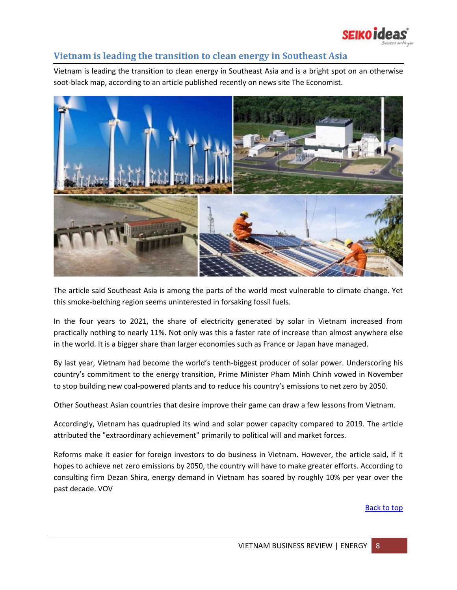

## <span id="page-7-0"></span>**Vietnam is leading the transition to clean energy in Southeast Asia**

Vietnam is leading the transition to clean energy in Southeast Asia and is a bright spot on an otherwise soot-black map, according to an article published recently on news site The Economist.



The article said Southeast Asia is among the parts of the world most vulnerable to climate change. Yet this smoke-belching region seems uninterested in forsaking fossil fuels.

In the four years to 2021, the share of electricity generated by solar in Vietnam increased from practically nothing to nearly 11%. Not only was this a faster rate of increase than almost anywhere else in the world. It is a bigger share than larger economies such as France or Japan have managed.

By last year, Vietnam had become the world's tenth-biggest producer of solar power. Underscoring his country's commitment to the energy transition, Prime Minister Pham Minh Chinh vowed in November to stop building new coal-powered plants and to reduce his country's emissions to net zero by 2050.

Other Southeast Asian countries that desire improve their game can draw a few lessons from Vietnam.

Accordingly, Vietnam has quadrupled its wind and solar power capacity compared to 2019. The article attributed the "extraordinary achievement" primarily to political will and market forces.

Reforms make it easier for foreign investors to do business in Vietnam. However, the article said, if it hopes to achieve net zero emissions by 2050, the country will have to make greater efforts. According to consulting firm Dezan Shira, energy demand in Vietnam has soared by roughly 10% per year over the past decade. VOV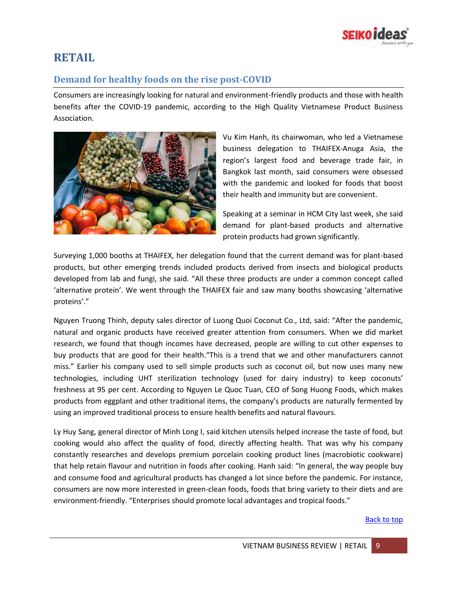

# <span id="page-8-0"></span>**RETAIL**

## <span id="page-8-1"></span>**Demand for healthy foods on the rise post-COVID**

Consumers are increasingly looking for natural and environment-friendly products and those with health benefits after the COVID-19 pandemic, according to the High Quality Vietnamese Product Business Association.



Vu Kim Hanh, its chairwoman, who led a Vietnamese business delegation to THAIFEX-Anuga Asia, the region's largest food and beverage trade fair, in Bangkok last month, said consumers were obsessed with the pandemic and looked for foods that boost their health and immunity but are convenient.

Speaking at a seminar in HCM City last week, she said demand for plant-based products and alternative protein products had grown significantly.

Surveying 1,000 booths at THAIFEX, her delegation found that the current demand was for plant-based products, but other emerging trends included products derived from insects and biological products developed from lab and fungi, she said. "All these three products are under a common concept called 'alternative protein'. We went through the THAIFEX fair and saw many booths showcasing 'alternative proteins'."

Nguyen Truong Thinh, deputy sales director of Luong Quoi Coconut Co., Ltd, said: "After the pandemic, natural and organic products have received greater attention from consumers. When we did market research, we found that though incomes have decreased, people are willing to cut other expenses to buy products that are good for their health."This is a trend that we and other manufacturers cannot miss." Earlier his company used to sell simple products such as coconut oil, but now uses many new technologies, including UHT sterilization technology (used for dairy industry) to keep coconuts' freshness at 95 per cent. According to Nguyen Le Quoc Tuan, CEO of Song Huong Foods, which makes products from eggplant and other traditional items, the company's products are naturally fermented by using an improved traditional process to ensure health benefits and natural flavours.

Ly Huy Sang, general director of Minh Long I, said kitchen utensils helped increase the taste of food, but cooking would also affect the quality of food, directly affecting health. That was why his company constantly researches and develops premium porcelain cooking product lines (macrobiotic cookware) that help retain flavour and nutrition in foods after cooking. Hanh said: "In general, the way people buy and consume food and agricultural products has changed a lot since before the pandemic. For instance, consumers are now more interested in green-clean foods, foods that bring variety to their diets and are environment-friendly. "Enterprises should promote local advantages and tropical foods."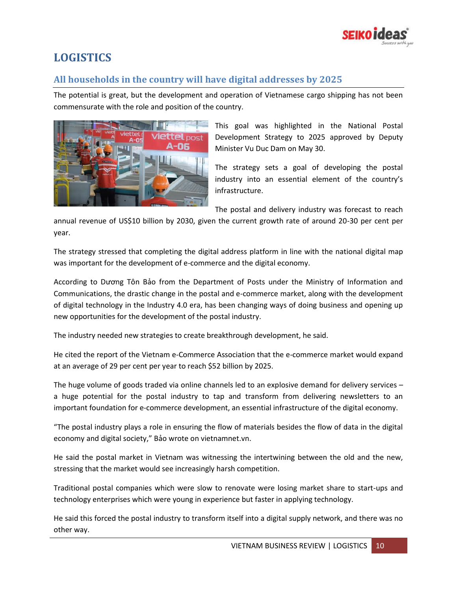

# <span id="page-9-0"></span>**LOGISTICS**

## <span id="page-9-1"></span>**All households in the country will have digital addresses by 2025**

The potential is great, but the development and operation of Vietnamese cargo shipping has not been commensurate with the role and position of the country.



This goal was highlighted in the National Postal Development Strategy to 2025 approved by Deputy Minister Vu Duc Dam on May 30.

The strategy sets a goal of developing the postal industry into an essential element of the country's infrastructure.

The postal and delivery industry was forecast to reach

annual revenue of US\$10 billion by 2030, given the current growth rate of around 20-30 per cent per year.

The strategy stressed that completing the digital address platform in line with the national digital map was important for the development of e-commerce and the digital economy.

According to Dương Tôn Bảo from the Department of Posts under the Ministry of Information and Communications, the drastic change in the postal and e-commerce market, along with the development of digital technology in the Industry 4.0 era, has been changing ways of doing business and opening up new opportunities for the development of the postal industry.

The industry needed new strategies to create breakthrough development, he said.

He cited the report of the Vietnam e-Commerce Association that the e-commerce market would expand at an average of 29 per cent per year to reach \$52 billion by 2025.

The huge volume of goods traded via online channels led to an explosive demand for delivery services – a huge potential for the postal industry to tap and transform from delivering newsletters to an important foundation for e-commerce development, an essential infrastructure of the digital economy.

"The postal industry plays a role in ensuring the flow of materials besides the flow of data in the digital economy and digital society," Bảo wrote on vietnamnet.vn.

He said the postal market in Vietnam was witnessing the intertwining between the old and the new, stressing that the market would see increasingly harsh competition.

Traditional postal companies which were slow to renovate were losing market share to start-ups and technology enterprises which were young in experience but faster in applying technology.

He said this forced the postal industry to transform itself into a digital supply network, and there was no other way.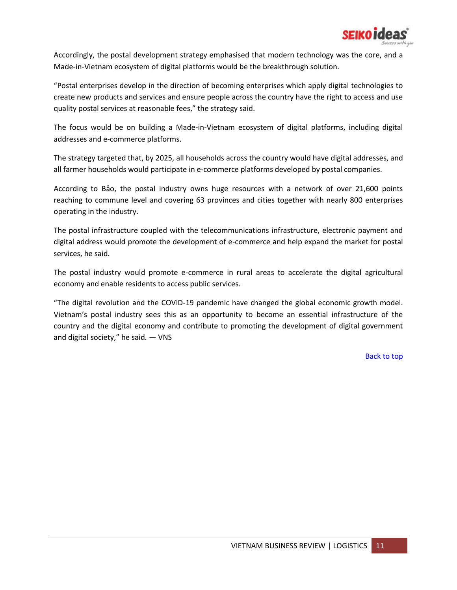

Accordingly, the postal development strategy emphasised that modern technology was the core, and a Made-in-Vietnam ecosystem of digital platforms would be the breakthrough solution.

"Postal enterprises develop in the direction of becoming enterprises which apply digital technologies to create new products and services and ensure people across the country have the right to access and use quality postal services at reasonable fees," the strategy said.

The focus would be on building a Made-in-Vietnam ecosystem of digital platforms, including digital addresses and e-commerce platforms.

The strategy targeted that, by 2025, all households across the country would have digital addresses, and all farmer households would participate in e-commerce platforms developed by postal companies.

According to Bảo, the postal industry owns huge resources with a network of over 21,600 points reaching to commune level and covering 63 provinces and cities together with nearly 800 enterprises operating in the industry.

The postal infrastructure coupled with the telecommunications infrastructure, electronic payment and digital address would promote the development of e-commerce and help expand the market for postal services, he said.

The postal industry would promote e-commerce in rural areas to accelerate the digital agricultural economy and enable residents to access public services.

"The digital revolution and the COVID-19 pandemic have changed the global economic growth model. Vietnam's postal industry sees this as an opportunity to become an essential infrastructure of the country and the digital economy and contribute to promoting the development of digital government and digital society," he said. — VNS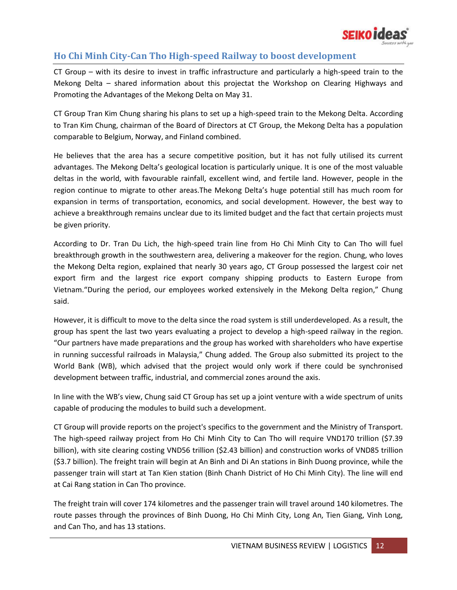

## <span id="page-11-0"></span>**Ho Chi Minh City-Can Tho High-speed Railway to boost development**

CT Group – with its desire to invest in traffic infrastructure and particularly a high-speed train to the Mekong Delta – shared information about this projectat the Workshop on Clearing Highways and Promoting the Advantages of the Mekong Delta on May 31.

CT Group Tran Kim Chung sharing his plans to set up a high-speed train to the Mekong Delta. According to Tran Kim Chung, chairman of the Board of Directors at CT Group, the Mekong Delta has a population comparable to Belgium, Norway, and Finland combined.

He believes that the area has a secure competitive position, but it has not fully utilised its current advantages. The Mekong Delta's geological location is particularly unique. It is one of the most valuable deltas in the world, with favourable rainfall, excellent wind, and fertile land. However, people in the region continue to migrate to other areas.The Mekong Delta's huge potential still has much room for expansion in terms of transportation, economics, and social development. However, the best way to achieve a breakthrough remains unclear due to its limited budget and the fact that certain projects must be given priority.

According to Dr. Tran Du Lich, the high-speed train line from Ho Chi Minh City to Can Tho will fuel breakthrough growth in the southwestern area, delivering a makeover for the region. Chung, who loves the Mekong Delta region, explained that nearly 30 years ago, CT Group possessed the largest coir net export firm and the largest rice export company shipping products to Eastern Europe from Vietnam."During the period, our employees worked extensively in the Mekong Delta region," Chung said.

However, it is difficult to move to the delta since the road system is still underdeveloped. As a result, the group has spent the last two years evaluating a project to develop a high-speed railway in the region. "Our partners have made preparations and the group has worked with shareholders who have expertise in running successful railroads in Malaysia," Chung added. The Group also submitted its project to the World Bank (WB), which advised that the project would only work if there could be synchronised development between traffic, industrial, and commercial zones around the axis.

In line with the WB's view, Chung said CT Group has set up a joint venture with a wide spectrum of units capable of producing the modules to build such a development.

CT Group will provide reports on the project's specifics to the government and the Ministry of Transport. The high-speed railway project from Ho Chi Minh City to Can Tho will require VND170 trillion (\$7.39 billion), with site clearing costing VND56 trillion (\$2.43 billion) and construction works of VND85 trillion (\$3.7 billion). The freight train will begin at An Binh and Di An stations in Binh Duong province, while the passenger train will start at Tan Kien station (Binh Chanh District of Ho Chi Minh City). The line will end at Cai Rang station in Can Tho province.

The freight train will cover 174 kilometres and the passenger train will travel around 140 kilometres. The route passes through the provinces of Binh Duong, Ho Chi Minh City, Long An, Tien Giang, Vinh Long, and Can Tho, and has 13 stations.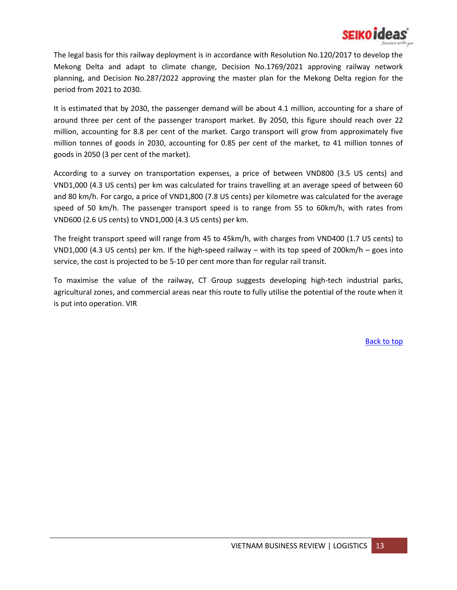

The legal basis for this railway deployment is in accordance with Resolution No.120/2017 to develop the Mekong Delta and adapt to climate change, Decision No.1769/2021 approving railway network planning, and Decision No.287/2022 approving the master plan for the Mekong Delta region for the period from 2021 to 2030.

It is estimated that by 2030, the passenger demand will be about 4.1 million, accounting for a share of around three per cent of the passenger transport market. By 2050, this figure should reach over 22 million, accounting for 8.8 per cent of the market. Cargo transport will grow from approximately five million tonnes of goods in 2030, accounting for 0.85 per cent of the market, to 41 million tonnes of goods in 2050 (3 per cent of the market).

According to a survey on transportation expenses, a price of between VND800 (3.5 US cents) and VND1,000 (4.3 US cents) per km was calculated for trains travelling at an average speed of between 60 and 80 km/h. For cargo, a price of VND1,800 (7.8 US cents) per kilometre was calculated for the average speed of 50 km/h. The passenger transport speed is to range from 55 to 60km/h, with rates from VND600 (2.6 US cents) to VND1,000 (4.3 US cents) per km.

The freight transport speed will range from 45 to 45km/h, with charges from VND400 (1.7 US cents) to VND1,000 (4.3 US cents) per km. If the high-speed railway – with its top speed of 200km/h – goes into service, the cost is projected to be 5-10 per cent more than for regular rail transit.

To maximise the value of the railway, CT Group suggests developing high-tech industrial parks, agricultural zones, and commercial areas near this route to fully utilise the potential of the route when it is put into operation. VIR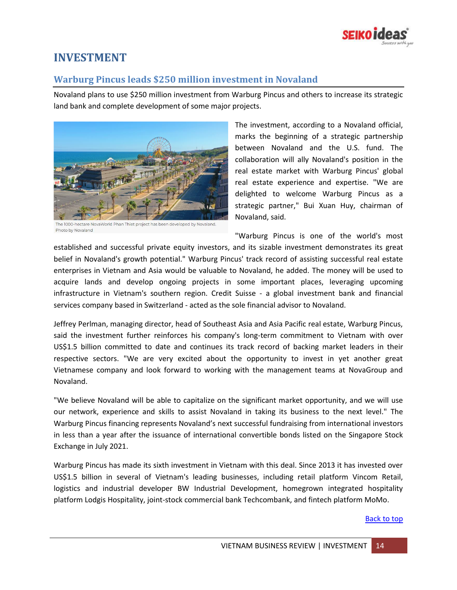

# <span id="page-13-0"></span>**INVESTMENT**

## <span id="page-13-1"></span>**Warburg Pincus leads \$250 million investment in Novaland**

Novaland plans to use \$250 million investment from Warburg Pincus and others to increase its strategic land bank and complete development of some major projects.



The 1000-hectare NovaWorld Phan Thiet project has been developed by Novaland Photo by Novaland

The investment, according to a Novaland official, marks the beginning of a strategic partnership between Novaland and the U.S. fund. The collaboration will ally Novaland's position in the real estate market with Warburg Pincus' global real estate experience and expertise. "We are delighted to welcome Warburg Pincus as a strategic partner," Bui Xuan Huy, chairman of Novaland, said.

"Warburg Pincus is one of the world's most established and successful private equity investors, and its sizable investment demonstrates its great belief in Novaland's growth potential." Warburg Pincus' track record of assisting successful real estate enterprises in Vietnam and Asia would be valuable to Novaland, he added. The money will be used to acquire lands and develop ongoing projects in some important places, leveraging upcoming infrastructure in Vietnam's southern region. Credit Suisse - a global investment bank and financial services company based in Switzerland - acted as the sole financial advisor to Novaland.

Jeffrey Perlman, managing director, head of Southeast Asia and Asia Pacific real estate, Warburg Pincus, said the investment further reinforces his company's long-term commitment to Vietnam with over US\$1.5 billion committed to date and continues its track record of backing market leaders in their respective sectors. "We are very excited about the opportunity to invest in yet another great Vietnamese company and look forward to working with the management teams at NovaGroup and Novaland.

"We believe Novaland will be able to capitalize on the significant market opportunity, and we will use our network, experience and skills to assist Novaland in taking its business to the next level." The Warburg Pincus financing represents Novaland's next successful fundraising from international investors in less than a year after the issuance of international convertible bonds listed on the Singapore Stock Exchange in July 2021.

Warburg Pincus has made its sixth investment in Vietnam with this deal. Since 2013 it has invested over US\$1.5 billion in several of Vietnam's leading businesses, including retail platform Vincom Retail, logistics and industrial developer BW Industrial Development, homegrown integrated hospitality platform Lodgis Hospitality, joint-stock commercial bank Techcombank, and fintech platform MoMo.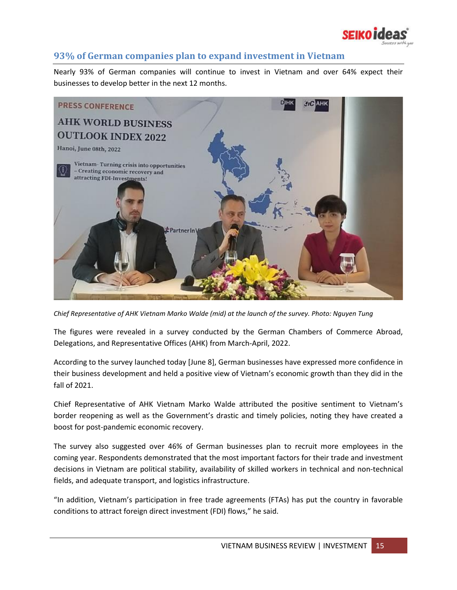

## <span id="page-14-0"></span>**93% of German companies plan to expand investment in Vietnam**

Nearly 93% of German companies will continue to invest in Vietnam and over 64% expect their businesses to develop better in the next 12 months.



*Chief Representative of AHK Vietnam Marko Walde (mid) at the launch of the survey. Photo: Nguyen Tung*

The figures were revealed in a survey conducted by the German Chambers of Commerce Abroad, Delegations, and Representative Offices (AHK) from March-April, 2022.

According to the survey launched today [June 8], German businesses have expressed more confidence in their business development and held a positive view of Vietnam's economic growth than they did in the fall of 2021.

Chief Representative of AHK Vietnam Marko Walde attributed the positive sentiment to Vietnam's border reopening as well as the Government's drastic and timely policies, noting they have created a boost for post-pandemic economic recovery.

The survey also suggested over 46% of German businesses plan to recruit more employees in the coming year. Respondents demonstrated that the most important factors for their trade and investment decisions in Vietnam are political stability, availability of skilled workers in technical and non-technical fields, and adequate transport, and logistics infrastructure.

"In addition, Vietnam's participation in free trade agreements (FTAs) has put the country in favorable conditions to attract foreign direct investment (FDI) flows," he said.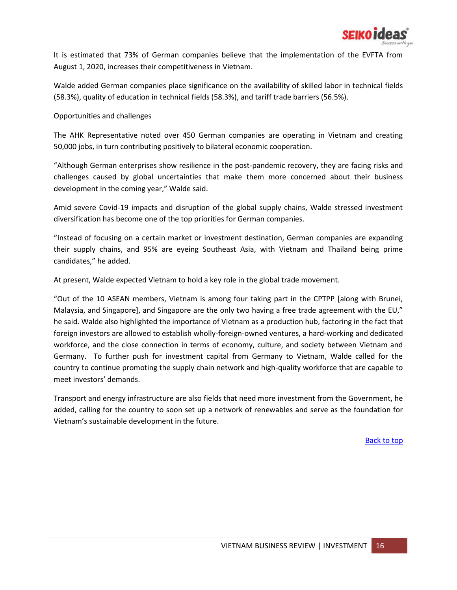

It is estimated that 73% of German companies believe that the implementation of the EVFTA from August 1, 2020, increases their competitiveness in Vietnam.

Walde added German companies place significance on the availability of skilled labor in technical fields (58.3%), quality of education in technical fields (58.3%), and tariff trade barriers (56.5%).

#### Opportunities and challenges

The AHK Representative noted over 450 German companies are operating in Vietnam and creating 50,000 jobs, in turn contributing positively to bilateral economic cooperation.

"Although German enterprises show resilience in the post-pandemic recovery, they are facing risks and challenges caused by global uncertainties that make them more concerned about their business development in the coming year," Walde said.

Amid severe Covid-19 impacts and disruption of the global supply chains, Walde stressed investment diversification has become one of the top priorities for German companies.

"Instead of focusing on a certain market or investment destination, German companies are expanding their supply chains, and 95% are eyeing Southeast Asia, with Vietnam and Thailand being prime candidates," he added.

At present, Walde expected Vietnam to hold a key role in the global trade movement.

"Out of the 10 ASEAN members, Vietnam is among four taking part in the CPTPP [along with Brunei, Malaysia, and Singapore], and Singapore are the only two having a free trade agreement with the EU," he said. Walde also highlighted the importance of Vietnam as a production hub, factoring in the fact that foreign investors are allowed to establish wholly-foreign-owned ventures, a hard-working and dedicated workforce, and the close connection in terms of economy, culture, and society between Vietnam and Germany. To further push for investment capital from Germany to Vietnam, Walde called for the country to continue promoting the supply chain network and high-quality workforce that are capable to meet investors' demands.

Transport and energy infrastructure are also fields that need more investment from the Government, he added, calling for the country to soon set up a network of renewables and serve as the foundation for Vietnam's sustainable development in the future.